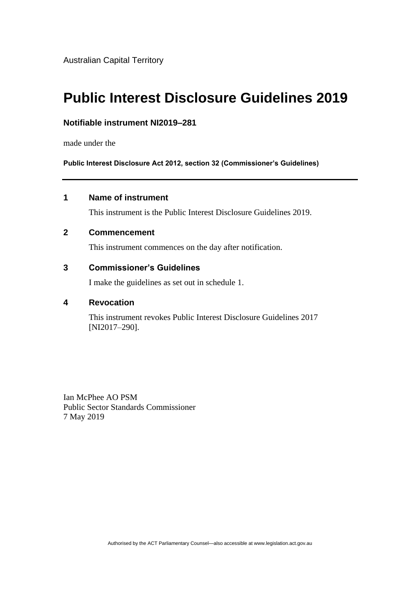Australian Capital Territory

# **Public Interest Disclosure Guidelines 2019**

#### **Notifiable instrument NI2019–281**

made under the

**Public Interest Disclosure Act 2012, section 32 (Commissioner's Guidelines)** 

### **1 Name of instrument**

This instrument is the Public Interest Disclosure Guidelines 2019.

#### **2 Commencement**

This instrument commences on the day after notification.

### **3 Commissioner's Guidelines**

I make the guidelines as set out in schedule 1.

#### **4 Revocation**

This instrument revokes Public Interest Disclosure Guidelines 2017 [NI2017-290].

Ian McPhee AO PSM Public Sector Standards Commissioner 7 May 2019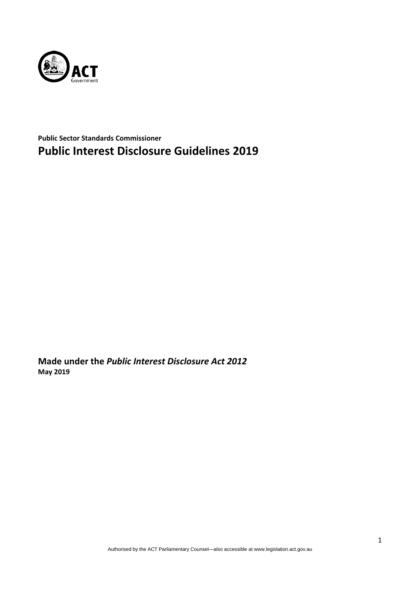

**Public Sector Standards Commissioner Public Interest Disclosure Guidelines 2019**

**Made under the** *Public Interest Disclosure Act 2012* **May 2019**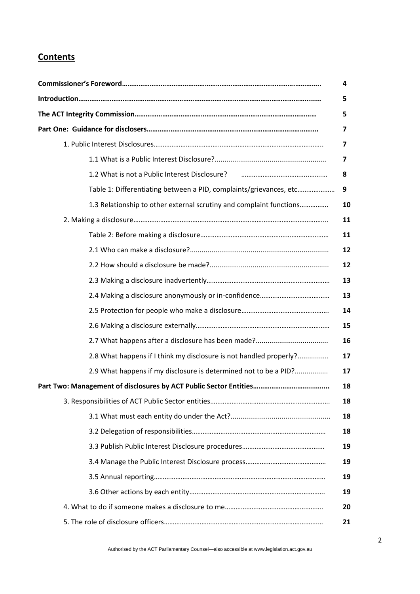# **Contents**

|                                                                                         | 4              |
|-----------------------------------------------------------------------------------------|----------------|
|                                                                                         | 5              |
|                                                                                         | 5              |
|                                                                                         | $\overline{7}$ |
|                                                                                         | 7              |
|                                                                                         | 7              |
| 1.2 What is not a Public Interest Disclosure? <b>2006</b> 2010 2020 2021 2021 2022 2023 | 8              |
| Table 1: Differentiating between a PID, complaints/grievances, etc                      | 9              |
| 1.3 Relationship to other external scrutiny and complaint functions                     | 10             |
|                                                                                         | 11             |
|                                                                                         | 11             |
|                                                                                         | 12             |
|                                                                                         | 12             |
|                                                                                         | 13             |
|                                                                                         | 13             |
|                                                                                         | 14             |
|                                                                                         | 15             |
|                                                                                         | 16             |
| 2.8 What happens if I think my disclosure is not handled properly?                      | 17             |
| 2.9 What happens if my disclosure is determined not to be a PID?                        | 17             |
|                                                                                         | 18             |
|                                                                                         | 18             |
|                                                                                         | 18             |
|                                                                                         | 18             |
|                                                                                         | 19             |
|                                                                                         | 19             |
|                                                                                         | 19             |
|                                                                                         | 19             |
|                                                                                         | 20             |
|                                                                                         | 21             |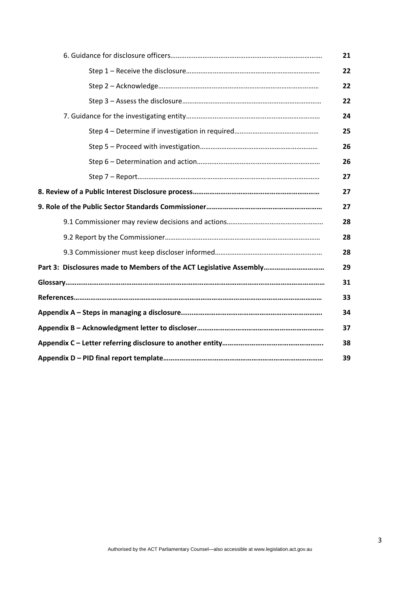|                                                                     | 21 |
|---------------------------------------------------------------------|----|
|                                                                     | 22 |
|                                                                     | 22 |
|                                                                     | 22 |
|                                                                     | 24 |
|                                                                     | 25 |
|                                                                     | 26 |
|                                                                     | 26 |
|                                                                     | 27 |
|                                                                     | 27 |
|                                                                     | 27 |
|                                                                     | 28 |
|                                                                     | 28 |
|                                                                     | 28 |
| Part 3: Disclosures made to Members of the ACT Legislative Assembly | 29 |
|                                                                     | 31 |
|                                                                     | 33 |
|                                                                     | 34 |
|                                                                     | 37 |
|                                                                     | 38 |
|                                                                     | 39 |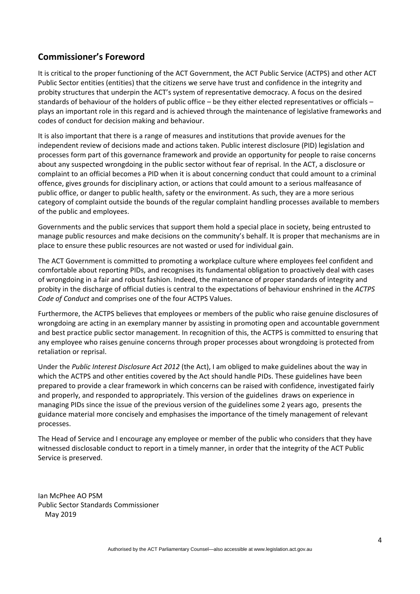# **Commissioner's Foreword**

It is critical to the proper functioning of the ACT Government, the ACT Public Service (ACTPS) and other ACT Public Sector entities (entities) that the citizens we serve have trust and confidence in the integrity and probity structures that underpin the ACT's system of representative democracy. A focus on the desired standards of behaviour of the holders of public office – be they either elected representatives or officials – plays an important role in this regard and is achieved through the maintenance of legislative frameworks and codes of conduct for decision making and behaviour.

It is also important that there is a range of measures and institutions that provide avenues for the independent review of decisions made and actions taken. Public interest disclosure (PID) legislation and processes form part of this governance framework and provide an opportunity for people to raise concerns about any suspected wrongdoing in the public sector without fear of reprisal. In the ACT, a disclosure or complaint to an official becomes a PID when it is about concerning conduct that could amount to a criminal offence, gives grounds for disciplinary action, or actions that could amount to a serious malfeasance of public office, or danger to public health, safety or the environment. As such, they are a more serious category of complaint outside the bounds of the regular complaint handling processes available to members of the public and employees.

Governments and the public services that support them hold a special place in society, being entrusted to manage public resources and make decisions on the community's behalf. It is proper that mechanisms are in place to ensure these public resources are not wasted or used for individual gain.

The ACT Government is committed to promoting a workplace culture where employees feel confident and comfortable about reporting PIDs, and recognises its fundamental obligation to proactively deal with cases of wrongdoing in a fair and robust fashion. Indeed, the maintenance of proper standards of integrity and probity in the discharge of official duties is central to the expectations of behaviour enshrined in the *ACTPS Code of Conduct* and comprises one of the four ACTPS Values.

Furthermore, the ACTPS believes that employees or members of the public who raise genuine disclosures of wrongdoing are acting in an exemplary manner by assisting in promoting open and accountable government and best practice public sector management. In recognition of this, the ACTPS is committed to ensuring that any employee who raises genuine concerns through proper processes about wrongdoing is protected from retaliation or reprisal.

Under the *Public Interest Disclosure Act 2012* (the Act), I am obliged to make guidelines about the way in which the ACTPS and other entities covered by the Act should handle PIDs. These guidelines have been prepared to provide a clear framework in which concerns can be raised with confidence, investigated fairly and properly, and responded to appropriately. This version of the guidelines draws on experience in managing PIDs since the issue of the previous version of the guidelines some 2 years ago, presents the guidance material more concisely and emphasises the importance of the timely management of relevant processes.

The Head of Service and I encourage any employee or member of the public who considers that they have witnessed disclosable conduct to report in a timely manner, in order that the integrity of the ACT Public Service is preserved.

Ian McPhee AO PSM Public Sector Standards Commissioner May 2019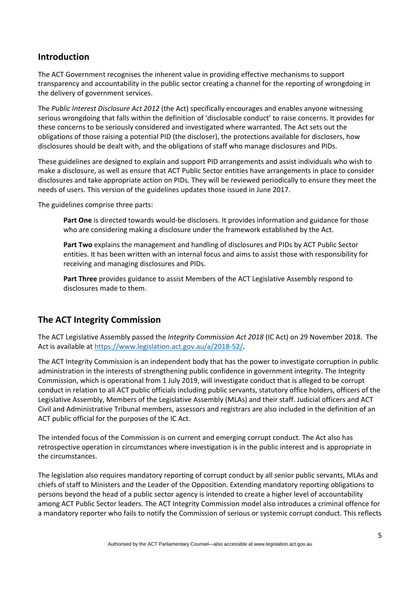# **Introduction**

The ACT Government recognises the inherent value in providing effective mechanisms to support transparency and accountability in the public sector creating a channel for the reporting of wrongdoing in the delivery of government services.

The *Public Interest Disclosure Act 2012* (the Act) specifically encourages and enables anyone witnessing serious wrongdoing that falls within the definition of 'disclosable conduct' to raise concerns. It provides for these concerns to be seriously considered and investigated where warranted. The Act sets out the obligations of those raising a potential PID (the discloser), the protections available for disclosers, how disclosures should be dealt with, and the obligations of staff who manage disclosures and PIDs.

These guidelines are designed to explain and support PID arrangements and assist individuals who wish to make a disclosure, as well as ensure that ACT Public Sector entities have arrangements in place to consider disclosures and take appropriate action on PIDs. They will be reviewed periodically to ensure they meet the needs of users. This version of the guidelines updates those issued in June 2017.

The guidelines comprise three parts:

**Part One** is directed towards would-be disclosers. It provides information and guidance for those who are considering making a disclosure under the framework established by the Act.

**Part Two** explains the management and handling of disclosures and PIDs by ACT Public Sector entities. It has been written with an internal focus and aims to assist those with responsibility for receiving and managing disclosures and PIDs.

**Part Three** provides guidance to assist Members of the ACT Legislative Assembly respond to disclosures made to them.

## **The ACT Integrity Commission**

The ACT Legislative Assembly passed the *Integrity Commission Act 2018* (IC Act) on 29 November 2018. The Act is available at [https://www.legislation.act.gov.au/a/2018-52/.](https://www.legislation.act.gov.au/a/2018-52/)

The ACT Integrity Commission is an independent body that has the power to investigate corruption in public administration in the interests of strengthening public confidence in government integrity. The Integrity Commission, which is operational from 1 July 2019, will investigate conduct that is alleged to be corrupt conduct in relation to all ACT public officials including public servants, statutory office holders, officers of the Legislative Assembly, Members of the Legislative Assembly (MLAs) and their staff. Judicial officers and ACT Civil and Administrative Tribunal members, assessors and registrars are also included in the definition of an ACT public official for the purposes of the IC Act.

The intended focus of the Commission is on current and emerging corrupt conduct. The Act also has retrospective operation in circumstances where investigation is in the public interest and is appropriate in the circumstances.

The legislation also requires mandatory reporting of corrupt conduct by all senior public servants, MLAs and chiefs of staff to Ministers and the Leader of the Opposition. Extending mandatory reporting obligations to persons beyond the head of a public sector agency is intended to create a higher level of accountability among ACT Public Sector leaders. The ACT Integrity Commission model also introduces a criminal offence for a mandatory reporter who fails to notify the Commission of serious or systemic corrupt conduct. This reflects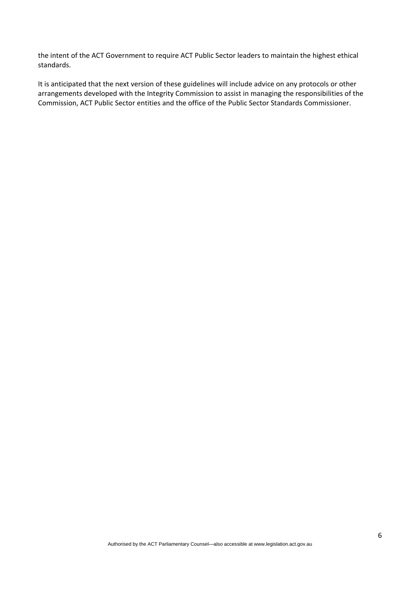the intent of the ACT Government to require ACT Public Sector leaders to maintain the highest ethical standards.

It is anticipated that the next version of these guidelines will include advice on any protocols or other arrangements developed with the Integrity Commission to assist in managing the responsibilities of the Commission, ACT Public Sector entities and the office of the Public Sector Standards Commissioner.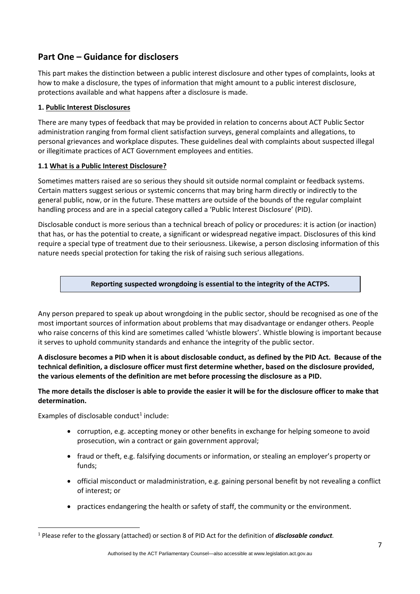# **Part One – Guidance for disclosers**

This part makes the distinction between a public interest disclosure and other types of complaints, looks at how to make a disclosure, the types of information that might amount to a public interest disclosure, protections available and what happens after a disclosure is made.

#### **1. Public Interest Disclosures**

There are many types of feedback that may be provided in relation to concerns about ACT Public Sector administration ranging from formal client satisfaction surveys, general complaints and allegations, to personal grievances and workplace disputes. These guidelines deal with complaints about suspected illegal or illegitimate practices of ACT Government employees and entities.

#### **1.1 What is a Public Interest Disclosure?**

Sometimes matters raised are so serious they should sit outside normal complaint or feedback systems. Certain matters suggest serious or systemic concerns that may bring harm directly or indirectly to the general public, now, or in the future. These matters are outside of the bounds of the regular complaint handling process and are in a special category called a 'Public Interest Disclosure' (PID).

Disclosable conduct is more serious than a technical breach of policy or procedures: it is action (or inaction) that has, or has the potential to create, a significant or widespread negative impact. Disclosures of this kind require a special type of treatment due to their seriousness. Likewise, a person disclosing information of this nature needs special protection for taking the risk of raising such serious allegations.

#### **Reporting suspected wrongdoing is essential to the integrity of the ACTPS.**

Any person prepared to speak up about wrongdoing in the public sector, should be recognised as one of the most important sources of information about problems that may disadvantage or endanger others. People who raise concerns of this kind are sometimes called 'whistle blowers'. Whistle blowing is important because it serves to uphold community standards and enhance the integrity of the public sector.

**A disclosure becomes a PID when it is about disclosable conduct, as defined by the PID Act. Because of the technical definition, a disclosure officer must first determine whether, based on the disclosure provided, the various elements of the definition are met before processing the disclosure as a PID.**

#### **The more details the discloser is able to provide the easier it will be for the disclosure officer to make that determination.**

Examples of disclosable conduct $1$  include:

**.** 

- corruption, e.g. accepting money or other benefits in exchange for helping someone to avoid prosecution, win a contract or gain government approval;
- fraud or theft, e.g. falsifying documents or information, or stealing an employer's property or funds;
- official misconduct or maladministration, e.g. gaining personal benefit by not revealing a conflict of interest; or
- practices endangering the health or safety of staff, the community or the environment.

<sup>1</sup> Please refer to the glossary (attached) or section 8 of PID Act for the definition of *disclosable conduct.*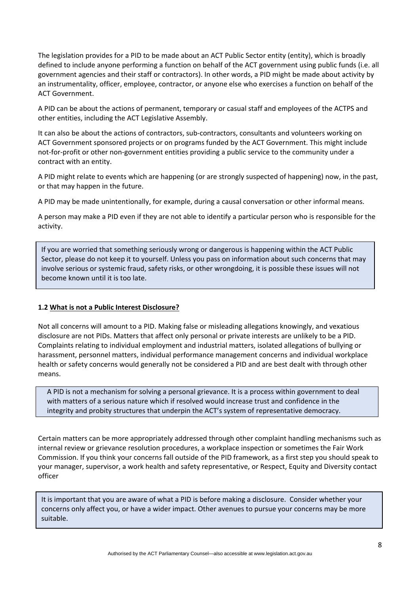The legislation provides for a PID to be made about an ACT Public Sector entity (entity), which is broadly defined to include anyone performing a function on behalf of the ACT government using public funds (i.e. all government agencies and their staff or contractors). In other words, a PID might be made about activity by an instrumentality, officer, employee, contractor, or anyone else who exercises a function on behalf of the ACT Government.

A PID can be about the actions of permanent, temporary or casual staff and employees of the ACTPS and other entities, including the ACT Legislative Assembly.

It can also be about the actions of contractors, sub-contractors, consultants and volunteers working on ACT Government sponsored projects or on programs funded by the ACT Government. This might include not-for-profit or other non-government entities providing a public service to the community under a contract with an entity.

A PID might relate to events which are happening (or are strongly suspected of happening) now, in the past, or that may happen in the future.

A PID may be made unintentionally, for example, during a causal conversation or other informal means.

A person may make a PID even if they are not able to identify a particular person who is responsible for the activity.

If you are worried that something seriously wrong or dangerous is happening within the ACT Public Sector, please do not keep it to yourself. Unless you pass on information about such concerns that may involve serious or systemic fraud, safety risks, or other wrongdoing, it is possible these issues will not become known until it is too late.

#### **1.2 What is not a Public Interest Disclosure?**

Not all concerns will amount to a PID. Making false or misleading allegations knowingly, and vexatious disclosure are not PIDs. Matters that affect only personal or private interests are unlikely to be a PID. Complaints relating to individual employment and industrial matters, isolated allegations of bullying or harassment, personnel matters, individual performance management concerns and individual workplace health or safety concerns would generally not be considered a PID and are best dealt with through other means.

A PID is not a mechanism for solving a personal grievance. It is a process within government to deal with matters of a serious nature which if resolved would increase trust and confidence in the integrity and probity structures that underpin the ACT's system of representative democracy.

Certain matters can be more appropriately addressed through other complaint handling mechanisms such as internal review or grievance resolution procedures, a workplace inspection or sometimes the Fair Work Commission. If you think your concerns fall outside of the PID framework, as a first step you should speak to your manager, supervisor, a work health and safety representative, or Respect, Equity and Diversity contact officer

It is important that you are aware of what a PID is before making a disclosure. Consider whether your concerns only affect you, or have a wider impact. Other avenues to pursue your concerns may be more suitable.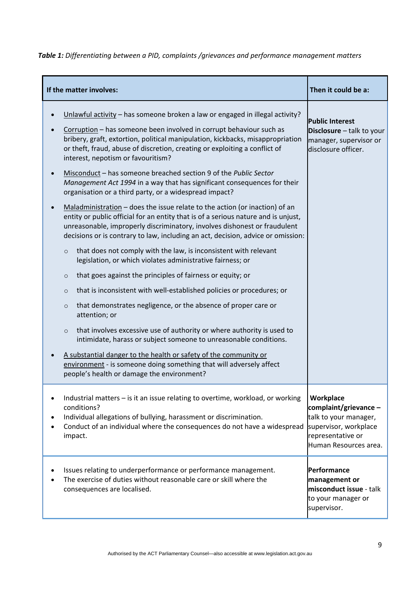*Table 1: Differentiating between a PID, complaints /grievances and performance management matters*

|   | If the matter involves:                                                                                                                                                                                                                                                                                                                                   | Then it could be a:                                                                                       |
|---|-----------------------------------------------------------------------------------------------------------------------------------------------------------------------------------------------------------------------------------------------------------------------------------------------------------------------------------------------------------|-----------------------------------------------------------------------------------------------------------|
|   | Unlawful activity - has someone broken a law or engaged in illegal activity?<br>Corruption - has someone been involved in corrupt behaviour such as<br>bribery, graft, extortion, political manipulation, kickbacks, misappropriation<br>or theft, fraud, abuse of discretion, creating or exploiting a conflict of<br>interest, nepotism or favouritism? | <b>Public Interest</b><br>Disclosure - talk to your<br>manager, supervisor or<br>disclosure officer.      |
|   | Misconduct - has someone breached section 9 of the Public Sector<br>Management Act 1994 in a way that has significant consequences for their<br>organisation or a third party, or a widespread impact?                                                                                                                                                    |                                                                                                           |
|   | Maladministration $-$ does the issue relate to the action (or inaction) of an<br>entity or public official for an entity that is of a serious nature and is unjust,<br>unreasonable, improperly discriminatory, involves dishonest or fraudulent<br>decisions or is contrary to law, including an act, decision, advice or omission:                      |                                                                                                           |
|   | that does not comply with the law, is inconsistent with relevant<br>$\circ$<br>legislation, or which violates administrative fairness; or                                                                                                                                                                                                                 |                                                                                                           |
|   | that goes against the principles of fairness or equity; or<br>$\circ$                                                                                                                                                                                                                                                                                     |                                                                                                           |
|   | that is inconsistent with well-established policies or procedures; or<br>$\circ$                                                                                                                                                                                                                                                                          |                                                                                                           |
|   | that demonstrates negligence, or the absence of proper care or<br>$\circ$<br>attention; or                                                                                                                                                                                                                                                                |                                                                                                           |
|   | that involves excessive use of authority or where authority is used to<br>$\circ$<br>intimidate, harass or subject someone to unreasonable conditions.                                                                                                                                                                                                    |                                                                                                           |
|   | A substantial danger to the health or safety of the community or<br>environment - is someone doing something that will adversely affect<br>people's health or damage the environment?                                                                                                                                                                     |                                                                                                           |
| ٠ | Industrial matters - is it an issue relating to overtime, workload, or working<br>conditions?<br>Individual allegations of bullying, harassment or discrimination.<br>Conduct of an individual where the consequences do not have a widespread supervisor, workplace<br>impact.                                                                           | Workplace<br>complaint/grievance -<br>talk to your manager,<br>representative or<br>Human Resources area. |
|   | Issues relating to underperformance or performance management.<br>The exercise of duties without reasonable care or skill where the<br>consequences are localised.                                                                                                                                                                                        | Performance<br>management or<br>misconduct issue - talk<br>to your manager or<br>supervisor.              |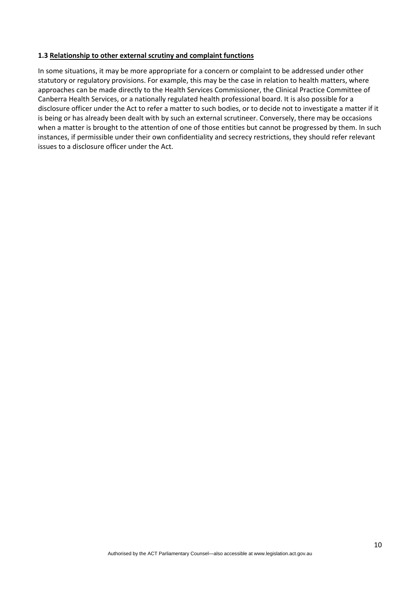#### **1.3 Relationship to other external scrutiny and complaint functions**

In some situations, it may be more appropriate for a concern or complaint to be addressed under other statutory or regulatory provisions. For example, this may be the case in relation to health matters, where approaches can be made directly to the Health Services Commissioner, the Clinical Practice Committee of Canberra Health Services, or a nationally regulated health professional board. It is also possible for a disclosure officer under the Act to refer a matter to such bodies, or to decide not to investigate a matter if it is being or has already been dealt with by such an external scrutineer. Conversely, there may be occasions when a matter is brought to the attention of one of those entities but cannot be progressed by them. In such instances, if permissible under their own confidentiality and secrecy restrictions, they should refer relevant issues to a disclosure officer under the Act.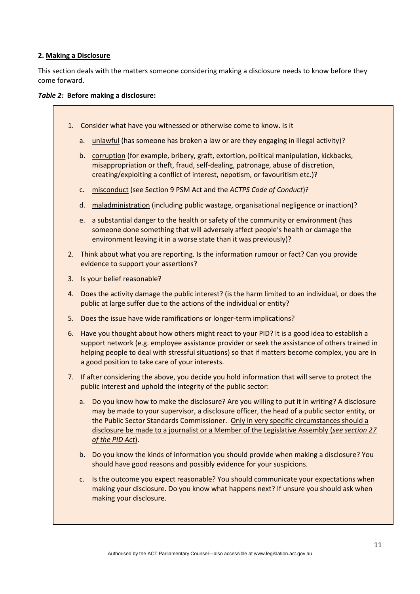#### **2. Making a Disclosure**

This section deals with the matters someone considering making a disclosure needs to know before they come forward.

#### *Table 2:* **Before making a disclosure:**

- 1. Consider what have you witnessed or otherwise come to know. Is it
	- a. unlawful (has someone has broken a law or are they engaging in illegal activity)?
	- b. corruption (for example, bribery, graft, extortion, political manipulation, kickbacks, misappropriation or theft, fraud, self‐dealing, patronage, abuse of discretion, creating/exploiting a conflict of interest, nepotism, or favouritism etc.)?
	- c. misconduct (see Section 9 PSM Act and the *ACTPS Code of Conduct*)?
	- d. maladministration (including public wastage, organisational negligence or inaction)?
	- e. a substantial danger to the health or safety of the community or environment (has someone done something that will adversely affect people's health or damage the environment leaving it in a worse state than it was previously)?
- 2. Think about what you are reporting. Is the information rumour or fact? Can you provide evidence to support your assertions?
- 3. Is your belief reasonable?
- 4. Does the activity damage the public interest? (is the harm limited to an individual, or does the public at large suffer due to the actions of the individual or entity?
- 5. Does the issue have wide ramifications or longer-term implications?
- 6. Have you thought about how others might react to your PID? It is a good idea to establish a support network (e.g. employee assistance provider or seek the assistance of others trained in helping people to deal with stressful situations) so that if matters become complex, you are in a good position to take care of your interests.
- 7. If after considering the above, you decide you hold information that will serve to protect the public interest and uphold the integrity of the public sector:
	- a. Do you know how to make the disclosure? Are you willing to put it in writing? A disclosure may be made to your supervisor, a disclosure officer, the head of a public sector entity, or the Public Sector Standards Commissioner. Only in very specific circumstances should a disclosure be made to a journalist or a Member of the Legislative Assembly (*see section 27 of the PID Act*).
	- b. Do you know the kinds of information you should provide when making a disclosure? You should have good reasons and possibly evidence for your suspicions.
	- c. Is the outcome you expect reasonable? You should communicate your expectations when making your disclosure. Do you know what happens next? If unsure you should ask when making your disclosure.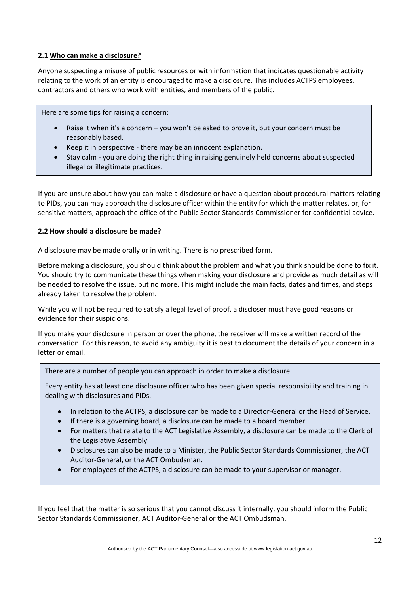#### **2.1 Who can make a disclosure?**

Anyone suspecting a misuse of public resources or with information that indicates questionable activity relating to the work of an entity is encouraged to make a disclosure. This includes ACTPS employees, contractors and others who work with entities, and members of the public.

Here are some tips for raising a concern:

- Raise it when it's a concern you won't be asked to prove it, but your concern must be reasonably based.
- Keep it in perspective ‐ there may be an innocent explanation.
- Stay calm ‐ you are doing the right thing in raising genuinely held concerns about suspected illegal or illegitimate practices.

If you are unsure about how you can make a disclosure or have a question about procedural matters relating to PIDs, you can may approach the disclosure officer within the entity for which the matter relates, or, for sensitive matters, approach the office of the Public Sector Standards Commissioner for confidential advice.

#### **2.2 How should a disclosure be made?**

A disclosure may be made orally or in writing. There is no prescribed form.

Before making a disclosure, you should think about the problem and what you think should be done to fix it. You should try to communicate these things when making your disclosure and provide as much detail as will be needed to resolve the issue, but no more. This might include the main facts, dates and times, and steps already taken to resolve the problem.

While you will not be required to satisfy a legal level of proof, a discloser must have good reasons or evidence for their suspicions.

If you make your disclosure in person or over the phone, the receiver will make a written record of the conversation. For this reason, to avoid any ambiguity it is best to document the details of your concern in a letter or email.

There are a number of people you can approach in order to make a disclosure.

Every entity has at least one disclosure officer who has been given special responsibility and training in dealing with disclosures and PIDs.

- In relation to the ACTPS, a disclosure can be made to a Director-General or the Head of Service.
- If there is a governing board, a disclosure can be made to a board member.
- For matters that relate to the ACT Legislative Assembly, a disclosure can be made to the Clerk of the Legislative Assembly.
- Disclosures can also be made to a Minister, the Public Sector Standards Commissioner, the ACT Auditor-General, or the ACT Ombudsman.
- For employees of the ACTPS, a disclosure can be made to your supervisor or manager.

If you feel that the matter is so serious that you cannot discuss it internally, you should inform the Public Sector Standards Commissioner, ACT Auditor‐General or the ACT Ombudsman.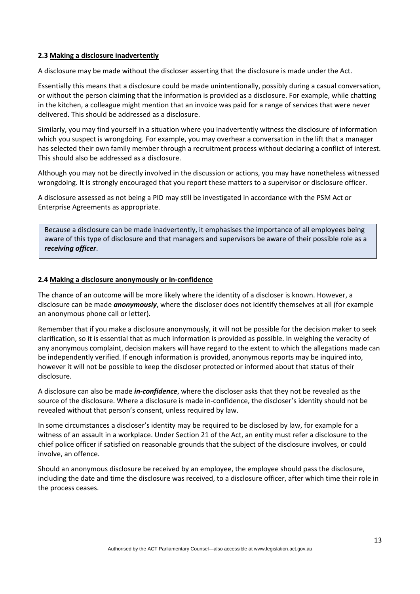#### **2.3 Making a disclosure inadvertently**

A disclosure may be made without the discloser asserting that the disclosure is made under the Act.

Essentially this means that a disclosure could be made unintentionally, possibly during a casual conversation, or without the person claiming that the information is provided as a disclosure. For example, while chatting in the kitchen, a colleague might mention that an invoice was paid for a range of services that were never delivered. This should be addressed as a disclosure.

Similarly, you may find yourself in a situation where you inadvertently witness the disclosure of information which you suspect is wrongdoing. For example, you may overhear a conversation in the lift that a manager has selected their own family member through a recruitment process without declaring a conflict of interest. This should also be addressed as a disclosure.

Although you may not be directly involved in the discussion or actions, you may have nonetheless witnessed wrongdoing. It is strongly encouraged that you report these matters to a supervisor or disclosure officer.

A disclosure assessed as not being a PID may still be investigated in accordance with the PSM Act or Enterprise Agreements as appropriate.

Because a disclosure can be made inadvertently, it emphasises the importance of all employees being aware of this type of disclosure and that managers and supervisors be aware of their possible role as a *receiving officer*.

#### **2.4 Making a disclosure anonymously or in-confidence**

The chance of an outcome will be more likely where the identity of a discloser is known. However, a disclosure can be made *anonymously*, where the discloser does not identify themselves at all (for example an anonymous phone call or letter).

Remember that if you make a disclosure anonymously, it will not be possible for the decision maker to seek clarification, so it is essential that as much information is provided as possible. In weighing the veracity of any anonymous complaint, decision makers will have regard to the extent to which the allegations made can be independently verified. If enough information is provided, anonymous reports may be inquired into, however it will not be possible to keep the discloser protected or informed about that status of their disclosure.

A disclosure can also be made *in‐confidence*, where the discloser asks that they not be revealed as the source of the disclosure. Where a disclosure is made in‐confidence, the discloser's identity should not be revealed without that person's consent, unless required by law.

In some circumstances a discloser's identity may be required to be disclosed by law, for example for a witness of an assault in a workplace. Under Section 21 of the Act, an entity must refer a disclosure to the chief police officer if satisfied on reasonable grounds that the subject of the disclosure involves, or could involve, an offence.

Should an anonymous disclosure be received by an employee, the employee should pass the disclosure, including the date and time the disclosure was received, to a disclosure officer, after which time their role in the process ceases.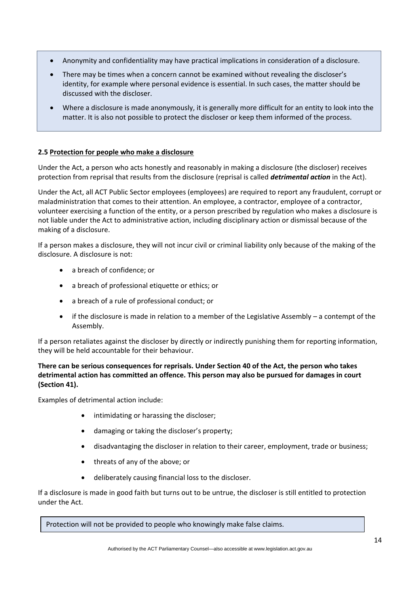- Anonymity and confidentiality may have practical implications in consideration of a disclosure.
- There may be times when a concern cannot be examined without revealing the discloser's identity, for example where personal evidence is essential. In such cases, the matter should be discussed with the discloser.
- Where a disclosure is made anonymously, it is generally more difficult for an entity to look into the matter. It is also not possible to protect the discloser or keep them informed of the process.

#### **2.5 Protection for people who make a disclosure**

Under the Act, a person who acts honestly and reasonably in making a disclosure (the discloser) receives protection from reprisal that results from the disclosure (reprisal is called *detrimental action* in the Act).

Under the Act, all ACT Public Sector employees (employees) are required to report any fraudulent, corrupt or maladministration that comes to their attention. An employee, a contractor, employee of a contractor, volunteer exercising a function of the entity, or a person prescribed by regulation who makes a disclosure is not liable under the Act to administrative action, including disciplinary action or dismissal because of the making of a disclosure.

If a person makes a disclosure, they will not incur civil or criminal liability only because of the making of the disclosure. A disclosure is not:

- a breach of confidence; or
- a breach of professional etiquette or ethics; or
- a breach of a rule of professional conduct; or
- if the disclosure is made in relation to a member of the Legislative Assembly  $-$  a contempt of the Assembly.

If a person retaliates against the discloser by directly or indirectly punishing them for reporting information, they will be held accountable for their behaviour.

#### **There can be serious consequences for reprisals. Under Section 40 of the Act, the person who takes detrimental action has committed an offence. This person may also be pursued for damages in court (Section 41).**

Examples of detrimental action include:

- intimidating or harassing the discloser;
- damaging or taking the discloser's property;
- disadvantaging the discloser in relation to their career, employment, trade or business;
- threats of any of the above; or
- deliberately causing financial loss to the discloser.

If a disclosure is made in good faith but turns out to be untrue, the discloser is still entitled to protection under the Act.

Protection will not be provided to people who knowingly make false claims.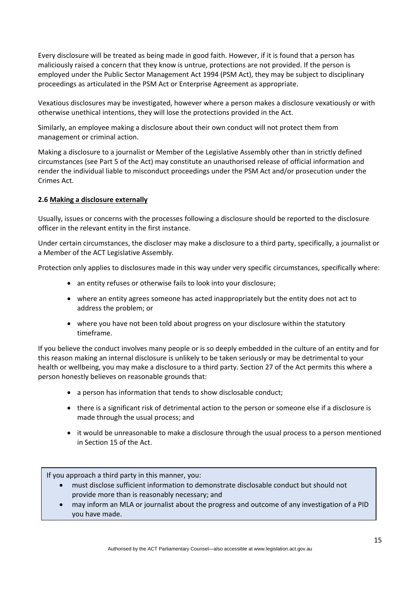Every disclosure will be treated as being made in good faith. However, if it is found that a person has maliciously raised a concern that they know is untrue, protections are not provided. If the person is employed under the Public Sector Management Act 1994 (PSM Act), they may be subject to disciplinary proceedings as articulated in the PSM Act or Enterprise Agreement as appropriate.

Vexatious disclosures may be investigated, however where a person makes a disclosure vexatiously or with otherwise unethical intentions, they will lose the protections provided in the Act.

Similarly, an employee making a disclosure about their own conduct will not protect them from management or criminal action.

Making a disclosure to a journalist or Member of the Legislative Assembly other than in strictly defined circumstances (see Part 5 of the Act) may constitute an unauthorised release of official information and render the individual liable to misconduct proceedings under the PSM Act and/or prosecution under the Crimes Act.

#### **2.6 Making a disclosure externally**

Usually, issues or concerns with the processes following a disclosure should be reported to the disclosure officer in the relevant entity in the first instance.

Under certain circumstances, the discloser may make a disclosure to a third party, specifically, a journalist or a Member of the ACT Legislative Assembly.

Protection only applies to disclosures made in this way under very specific circumstances, specifically where:

- an entity refuses or otherwise fails to look into your disclosure:
- where an entity agrees someone has acted inappropriately but the entity does not act to address the problem; or
- where you have not been told about progress on your disclosure within the statutory timeframe.

If you believe the conduct involves many people or is so deeply embedded in the culture of an entity and for this reason making an internal disclosure is unlikely to be taken seriously or may be detrimental to your health or wellbeing, you may make a disclosure to a third party. Section 27 of the Act permits this where a person honestly believes on reasonable grounds that:

- a person has information that tends to show disclosable conduct;
- there is a significant risk of detrimental action to the person or someone else if a disclosure is made through the usual process; and
- it would be unreasonable to make a disclosure through the usual process to a person mentioned in Section 15 of the Act.

If you approach a third party in this manner, you:

- must disclose sufficient information to demonstrate disclosable conduct but should not provide more than is reasonably necessary; and
- may inform an MLA or journalist about the progress and outcome of any investigation of a PID you have made.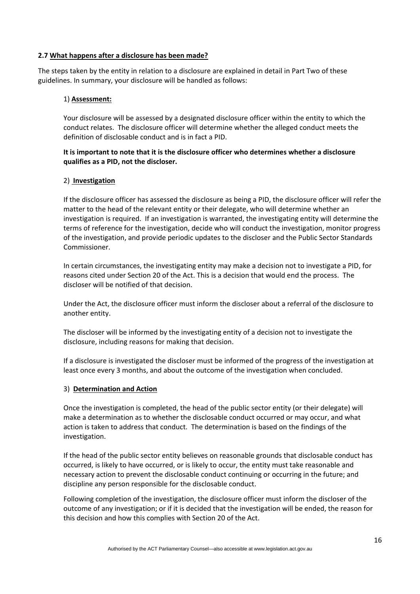#### **2.7 What happens after a disclosure has been made?**

The steps taken by the entity in relation to a disclosure are explained in detail in Part Two of these guidelines. In summary, your disclosure will be handled as follows:

#### 1) **Assessment:**

Your disclosure will be assessed by a designated disclosure officer within the entity to which the conduct relates. The disclosure officer will determine whether the alleged conduct meets the definition of disclosable conduct and is in fact a PID.

#### **It is important to note that it is the disclosure officer who determines whether a disclosure qualifies as a PID, not the discloser.**

#### 2) **Investigation**

If the disclosure officer has assessed the disclosure as being a PID, the disclosure officer will refer the matter to the head of the relevant entity or their delegate, who will determine whether an investigation is required. If an investigation is warranted, the investigating entity will determine the terms of reference for the investigation, decide who will conduct the investigation, monitor progress of the investigation, and provide periodic updates to the discloser and the Public Sector Standards Commissioner.

In certain circumstances, the investigating entity may make a decision not to investigate a PID, for reasons cited under Section 20 of the Act. This is a decision that would end the process. The discloser will be notified of that decision.

Under the Act, the disclosure officer must inform the discloser about a referral of the disclosure to another entity.

The discloser will be informed by the investigating entity of a decision not to investigate the disclosure, including reasons for making that decision.

If a disclosure is investigated the discloser must be informed of the progress of the investigation at least once every 3 months, and about the outcome of the investigation when concluded.

#### 3) **Determination and Action**

Once the investigation is completed, the head of the public sector entity (or their delegate) will make a determination as to whether the disclosable conduct occurred or may occur, and what action is taken to address that conduct. The determination is based on the findings of the investigation.

If the head of the public sector entity believes on reasonable grounds that disclosable conduct has occurred, is likely to have occurred, or is likely to occur, the entity must take reasonable and necessary action to prevent the disclosable conduct continuing or occurring in the future; and discipline any person responsible for the disclosable conduct.

Following completion of the investigation, the disclosure officer must inform the discloser of the outcome of any investigation; or if it is decided that the investigation will be ended, the reason for this decision and how this complies with Section 20 of the Act.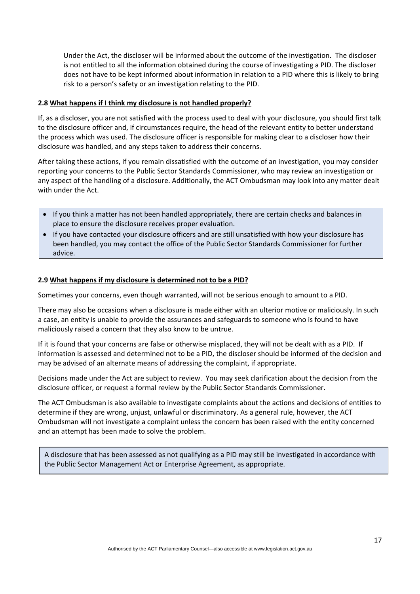Under the Act, the discloser will be informed about the outcome of the investigation. The discloser is not entitled to all the information obtained during the course of investigating a PID. The discloser does not have to be kept informed about information in relation to a PID where this is likely to bring risk to a person's safety or an investigation relating to the PID.

#### **2.8 What happens if I think my disclosure is not handled properly?**

If, as a discloser, you are not satisfied with the process used to deal with your disclosure, you should first talk to the disclosure officer and, if circumstances require, the head of the relevant entity to better understand the process which was used. The disclosure officer is responsible for making clear to a discloser how their disclosure was handled, and any steps taken to address their concerns.

After taking these actions, if you remain dissatisfied with the outcome of an investigation, you may consider reporting your concerns to the Public Sector Standards Commissioner, who may review an investigation or any aspect of the handling of a disclosure. Additionally, the ACT Ombudsman may look into any matter dealt with under the Act.

- If you think a matter has not been handled appropriately, there are certain checks and balances in place to ensure the disclosure receives proper evaluation.
- If you have contacted your disclosure officers and are still unsatisfied with how your disclosure has been handled, you may contact the office of the Public Sector Standards Commissioner for further advice.

#### **2.9 What happens if my disclosure is determined not to be a PID?**

Sometimes your concerns, even though warranted, will not be serious enough to amount to a PID.

There may also be occasions when a disclosure is made either with an ulterior motive or maliciously. In such a case, an entity is unable to provide the assurances and safeguards to someone who is found to have maliciously raised a concern that they also know to be untrue.

If it is found that your concerns are false or otherwise misplaced, they will not be dealt with as a PID. If information is assessed and determined not to be a PID, the discloser should be informed of the decision and may be advised of an alternate means of addressing the complaint, if appropriate.

Decisions made under the Act are subject to review. You may seek clarification about the decision from the disclosure officer, or request a formal review by the Public Sector Standards Commissioner.

The ACT Ombudsman is also available to investigate complaints about the actions and decisions of entities to determine if they are wrong, unjust, unlawful or discriminatory. As a general rule, however, the ACT Ombudsman will not investigate a complaint unless the concern has been raised with the entity concerned and an attempt has been made to solve the problem.

A disclosure that has been assessed as not qualifying as a PID may still be investigated in accordance with the Public Sector Management Act or Enterprise Agreement, as appropriate.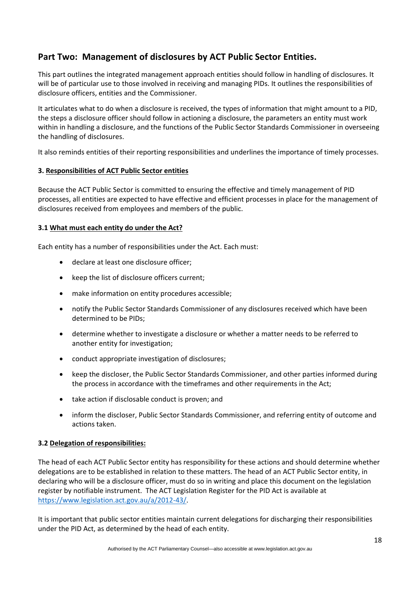# **Part Two: Management of disclosures by ACT Public Sector Entities.**

This part outlines the integrated management approach entities should follow in handling of disclosures. It will be of particular use to those involved in receiving and managing PIDs. It outlines the responsibilities of disclosure officers, entities and the Commissioner.

It articulates what to do when a disclosure is received, the types of information that might amount to a PID, the steps a disclosure officer should follow in actioning a disclosure, the parameters an entity must work within in handling a disclosure, and the functions of the Public Sector Standards Commissioner in overseeing the handling of disclosures.

It also reminds entities of their reporting responsibilities and underlines the importance of timely processes.

#### **3. Responsibilities of ACT Public Sector entities**

Because the ACT Public Sector is committed to ensuring the effective and timely management of PID processes, all entities are expected to have effective and efficient processes in place for the management of disclosures received from employees and members of the public.

#### **3.1 What must each entity do under the Act?**

Each entity has a number of responsibilities under the Act. Each must:

- declare at least one disclosure officer;
- keep the list of disclosure officers current;
- make information on entity procedures accessible;
- notify the Public Sector Standards Commissioner of any disclosures received which have been determined to be PIDs;
- determine whether to investigate a disclosure or whether a matter needs to be referred to another entity for investigation;
- conduct appropriate investigation of disclosures;
- keep the discloser, the Public Sector Standards Commissioner, and other parties informed during the process in accordance with the timeframes and other requirements in the Act;
- take action if disclosable conduct is proven; and
- inform the discloser, Public Sector Standards Commissioner, and referring entity of outcome and actions taken.

#### **3.2 Delegation of responsibilities:**

The head of each ACT Public Sector entity has responsibility for these actions and should determine whether delegations are to be established in relation to these matters. The head of an ACT Public Sector entity, in declaring who will be a disclosure officer, must do so in writing and place this document on the legislation register by notifiable instrument. The ACT Legislation Register for the PID Act is available at [https://www.legislation.act.gov.au/a/2012-43/.](https://www.legislation.act.gov.au/a/2012-43/)

It is important that public sector entities maintain current delegations for discharging their responsibilities under the PID Act, as determined by the head of each entity.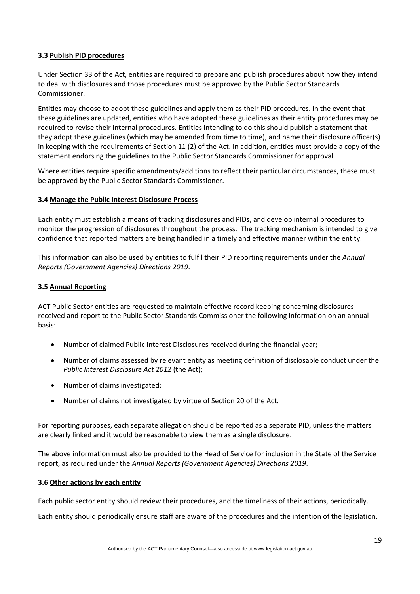#### **3.3 Publish PID procedures**

Under Section 33 of the Act, entities are required to prepare and publish procedures about how they intend to deal with disclosures and those procedures must be approved by the Public Sector Standards Commissioner.

Entities may choose to adopt these guidelines and apply them as their PID procedures. In the event that these guidelines are updated, entities who have adopted these guidelines as their entity procedures may be required to revise their internal procedures. Entities intending to do this should publish a statement that they adopt these guidelines (which may be amended from time to time), and name their disclosure officer(s) in keeping with the requirements of Section 11 (2) of the Act. In addition, entities must provide a copy of the statement endorsing the guidelines to the Public Sector Standards Commissioner for approval.

Where entities require specific amendments/additions to reflect their particular circumstances, these must be approved by the Public Sector Standards Commissioner.

#### **3.4 Manage the Public Interest Disclosure Process**

Each entity must establish a means of tracking disclosures and PIDs, and develop internal procedures to monitor the progression of disclosures throughout the process. The tracking mechanism is intended to give confidence that reported matters are being handled in a timely and effective manner within the entity.

This information can also be used by entities to fulfil their PID reporting requirements under the *Annual Reports (Government Agencies) Directions 2019*.

#### **3.5 Annual Reporting**

ACT Public Sector entities are requested to maintain effective record keeping concerning disclosures received and report to the Public Sector Standards Commissioner the following information on an annual basis:

- Number of claimed Public Interest Disclosures received during the financial year;
- Number of claims assessed by relevant entity as meeting definition of disclosable conduct under the *Public Interest Disclosure Act 2012* (the Act);
- Number of claims investigated;
- Number of claims not investigated by virtue of Section 20 of the Act.

For reporting purposes, each separate allegation should be reported as a separate PID, unless the matters are clearly linked and it would be reasonable to view them as a single disclosure.

The above information must also be provided to the Head of Service for inclusion in the State of the Service report, as required under the *Annual Reports (Government Agencies) Directions 2019*.

#### **3.6 Other actions by each entity**

Each public sector entity should review their procedures, and the timeliness of their actions, periodically.

Each entity should periodically ensure staff are aware of the procedures and the intention of the legislation.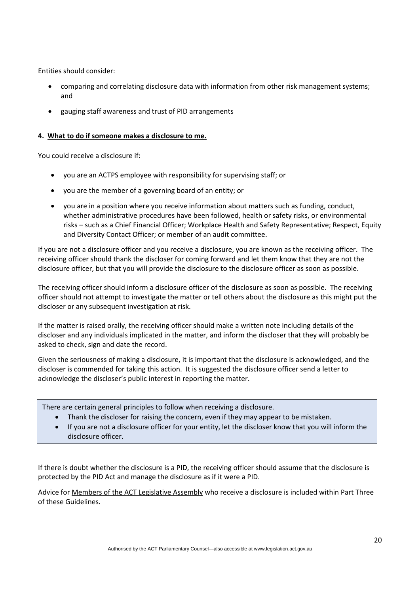Entities should consider:

- comparing and correlating disclosure data with information from other risk management systems; and
- gauging staff awareness and trust of PID arrangements

#### **4. What to do if someone makes a disclosure to me.**

You could receive a disclosure if:

- you are an ACTPS employee with responsibility for supervising staff; or
- you are the member of a governing board of an entity; or
- you are in a position where you receive information about matters such as funding, conduct, whether administrative procedures have been followed, health or safety risks, or environmental risks – such as a Chief Financial Officer; Workplace Health and Safety Representative; Respect, Equity and Diversity Contact Officer; or member of an audit committee.

If you are not a disclosure officer and you receive a disclosure, you are known as the receiving officer. The receiving officer should thank the discloser for coming forward and let them know that they are not the disclosure officer, but that you will provide the disclosure to the disclosure officer as soon as possible.

The receiving officer should inform a disclosure officer of the disclosure as soon as possible. The receiving officer should not attempt to investigate the matter or tell others about the disclosure as this might put the discloser or any subsequent investigation at risk.

If the matter is raised orally, the receiving officer should make a written note including details of the discloser and any individuals implicated in the matter, and inform the discloser that they will probably be asked to check, sign and date the record.

Given the seriousness of making a disclosure, it is important that the disclosure is acknowledged, and the discloser is commended for taking this action. It is suggested the disclosure officer send a letter to acknowledge the discloser's public interest in reporting the matter.

There are certain general principles to follow when receiving a disclosure.

- Thank the discloser for raising the concern, even if they may appear to be mistaken.
- If you are not a disclosure officer for your entity, let the discloser know that you will inform the disclosure officer.

If there is doubt whether the disclosure is a PID, the receiving officer should assume that the disclosure is protected by the PID Act and manage the disclosure as if it were a PID.

Advice for Members of the ACT Legislative Assembly who receive a disclosure is included within Part Three of these Guidelines.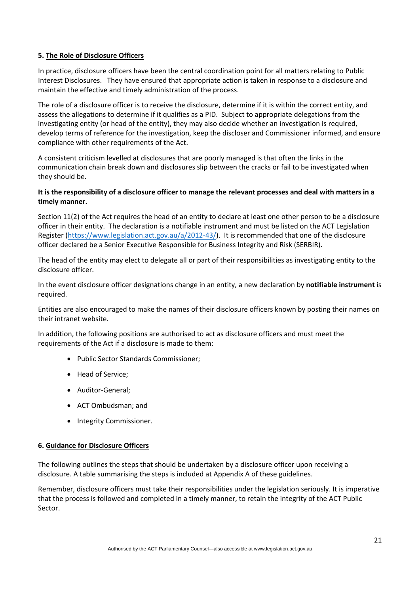#### **5. The Role of Disclosure Officers**

In practice, disclosure officers have been the central coordination point for all matters relating to Public Interest Disclosures. They have ensured that appropriate action is taken in response to a disclosure and maintain the effective and timely administration of the process.

The role of a disclosure officer is to receive the disclosure, determine if it is within the correct entity, and assess the allegations to determine if it qualifies as a PID. Subject to appropriate delegations from the investigating entity (or head of the entity), they may also decide whether an investigation is required, develop terms of reference for the investigation, keep the discloser and Commissioner informed, and ensure compliance with other requirements of the Act.

A consistent criticism levelled at disclosures that are poorly managed is that often the links in the communication chain break down and disclosures slip between the cracks or fail to be investigated when they should be.

#### **It is the responsibility of a disclosure officer to manage the relevant processes and deal with matters in a timely manner.**

Section 11(2) of the Act requires the head of an entity to declare at least one other person to be a disclosure officer in their entity. The declaration is a notifiable instrument and must be listed on the ACT Legislation Register [\(https://www.legislation.act.gov.au/a/2012-43/\)](https://www.legislation.act.gov.au/a/2012-43/). It is recommended that one of the disclosure officer declared be a Senior Executive Responsible for Business Integrity and Risk (SERBIR).

The head of the entity may elect to delegate all or part of their responsibilities as investigating entity to the disclosure officer.

In the event disclosure officer designations change in an entity, a new declaration by **notifiable instrument** is required.

Entities are also encouraged to make the names of their disclosure officers known by posting their names on their intranet website.

In addition, the following positions are authorised to act as disclosure officers and must meet the requirements of the Act if a disclosure is made to them:

- Public Sector Standards Commissioner;
- Head of Service;
- Auditor‐General;
- ACT Ombudsman; and
- Integrity Commissioner.

#### **6. Guidance for Disclosure Officers**

The following outlines the steps that should be undertaken by a disclosure officer upon receiving a disclosure. A table summarising the steps is included at Appendix A of these guidelines.

Remember, disclosure officers must take their responsibilities under the legislation seriously. It is imperative that the process is followed and completed in a timely manner, to retain the integrity of the ACT Public Sector.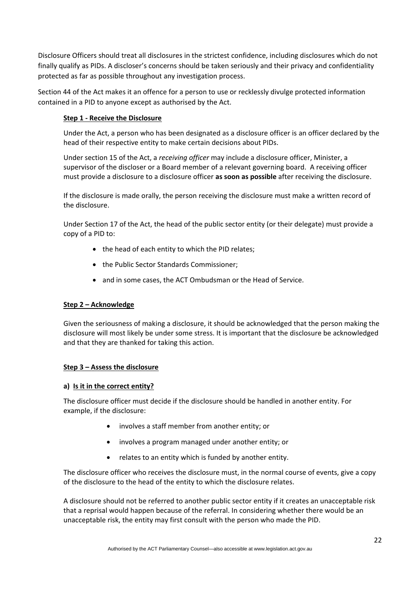Disclosure Officers should treat all disclosures in the strictest confidence, including disclosures which do not finally qualify as PIDs. A discloser's concerns should be taken seriously and their privacy and confidentiality protected as far as possible throughout any investigation process.

Section 44 of the Act makes it an offence for a person to use or recklessly divulge protected information contained in a PID to anyone except as authorised by the Act.

#### **Step 1 - Receive the Disclosure**

Under the Act, a person who has been designated as a disclosure officer is an officer declared by the head of their respective entity to make certain decisions about PIDs.

Under section 15 of the Act, a *receiving officer* may include a disclosure officer, Minister, a supervisor of the discloser or a Board member of a relevant governing board. A receiving officer must provide a disclosure to a disclosure officer **as soon as possible** after receiving the disclosure.

If the disclosure is made orally, the person receiving the disclosure must make a written record of the disclosure.

Under Section 17 of the Act, the head of the public sector entity (or their delegate) must provide a copy of a PID to:

- the head of each entity to which the PID relates;
- the Public Sector Standards Commissioner;
- and in some cases, the ACT Ombudsman or the Head of Service.

#### **Step 2 – Acknowledge**

Given the seriousness of making a disclosure, it should be acknowledged that the person making the disclosure will most likely be under some stress. It is important that the disclosure be acknowledged and that they are thanked for taking this action.

#### **Step 3 – Assess the disclosure**

#### **a) Is it in the correct entity?**

The disclosure officer must decide if the disclosure should be handled in another entity. For example, if the disclosure:

- involves a staff member from another entity; or
- involves a program managed under another entity; or
- relates to an entity which is funded by another entity.

The disclosure officer who receives the disclosure must, in the normal course of events, give a copy of the disclosure to the head of the entity to which the disclosure relates.

A disclosure should not be referred to another public sector entity if it creates an unacceptable risk that a reprisal would happen because of the referral. In considering whether there would be an unacceptable risk, the entity may first consult with the person who made the PID.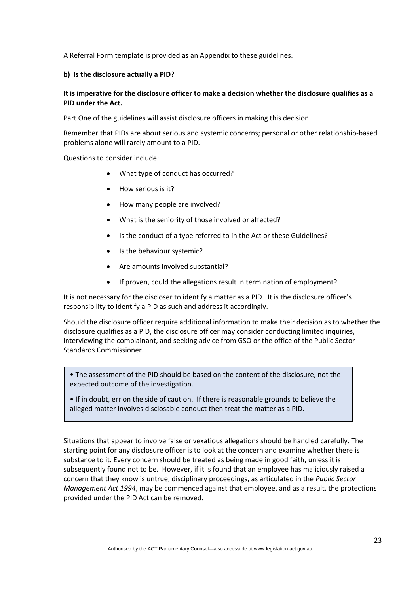A Referral Form template is provided as an Appendix to these guidelines.

#### **b) Is the disclosure actually a PID?**

#### **It is imperative for the disclosure officer to make a decision whether the disclosure qualifies as a PID under the Act.**

Part One of the guidelines will assist disclosure officers in making this decision.

Remember that PIDs are about serious and systemic concerns; personal or other relationship-based problems alone will rarely amount to a PID.

Questions to consider include:

- What type of conduct has occurred?
- How serious is it?
- How many people are involved?
- What is the seniority of those involved or affected?
- Is the conduct of a type referred to in the Act or these Guidelines?
- Is the behaviour systemic?
- Are amounts involved substantial?
- If proven, could the allegations result in termination of employment?

It is not necessary for the discloser to identify a matter as a PID. It is the disclosure officer's responsibility to identify a PID as such and address it accordingly.

Should the disclosure officer require additional information to make their decision as to whether the disclosure qualifies as a PID, the disclosure officer may consider conducting limited inquiries, interviewing the complainant, and seeking advice from GSO or the office of the Public Sector Standards Commissioner.

• The assessment of the PID should be based on the content of the disclosure, not the expected outcome of the investigation.

• If in doubt, err on the side of caution. If there is reasonable grounds to believe the alleged matter involves disclosable conduct then treat the matter as a PID.

Situations that appear to involve false or vexatious allegations should be handled carefully. The starting point for any disclosure officer is to look at the concern and examine whether there is substance to it. Every concern should be treated as being made in good faith, unless it is subsequently found not to be. However, if it is found that an employee has maliciously raised a concern that they know is untrue, disciplinary proceedings, as articulated in the *Public Sector Management Act 1994*, may be commenced against that employee, and as a result, the protections provided under the PID Act can be removed.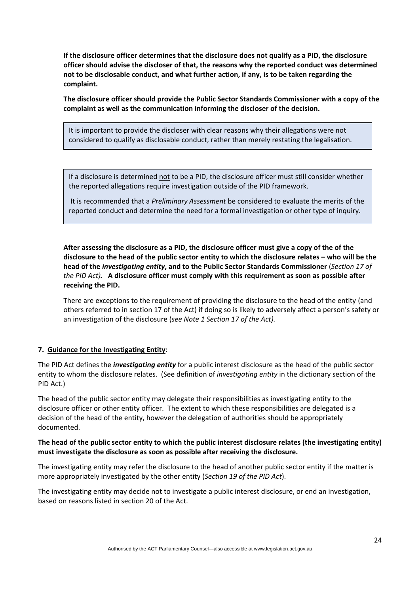**If the disclosure officer determines that the disclosure does not qualify as a PID, the disclosure officer should advise the discloser of that, the reasons why the reported conduct was determined not to be disclosable conduct, and what further action, if any, is to be taken regarding the complaint.** 

**The disclosure officer should provide the Public Sector Standards Commissioner with a copy of the complaint as well as the communication informing the discloser of the decision.**

It is important to provide the discloser with clear reasons why their allegations were not considered to qualify as disclosable conduct, rather than merely restating the legalisation.

If a disclosure is determined not to be a PID, the disclosure officer must still consider whether the reported allegations require investigation outside of the PID framework.

It is recommended that a *Preliminary Assessment* be considered to evaluate the merits of the reported conduct and determine the need for a formal investigation or other type of inquiry.

**After assessing the disclosure as a PID, the disclosure officer must give a copy of the of the disclosure to the head of the public sector entity to which the disclosure relates – who will be the head of the** *investigating entity***, and to the Public Sector Standards Commissioner** (*Section 17 of the PID Act).* **A disclosure officer must comply with this requirement as soon as possible after receiving the PID.**

There are exceptions to the requirement of providing the disclosure to the head of the entity (and others referred to in section 17 of the Act) if doing so is likely to adversely affect a person's safety or an investigation of the disclosure (*see Note 1 Section 17 of the Act).*

#### **7. Guidance for the Investigating Entity**:

The PID Act defines the *investigating entity* for a public interest disclosure as the head of the public sector entity to whom the disclosure relates. (See definition of *investigating entity* in the dictionary section of the PID Act.)

The head of the public sector entity may delegate their responsibilities as investigating entity to the disclosure officer or other entity officer. The extent to which these responsibilities are delegated is a decision of the head of the entity, however the delegation of authorities should be appropriately documented.

#### **The head of the public sector entity to which the public interest disclosure relates (the investigating entity) must investigate the disclosure as soon as possible after receiving the disclosure.**

The investigating entity may refer the disclosure to the head of another public sector entity if the matter is more appropriately investigated by the other entity (*Section 19 of the PID Act*).

The investigating entity may decide not to investigate a public interest disclosure, or end an investigation, based on reasons listed in section 20 of the Act.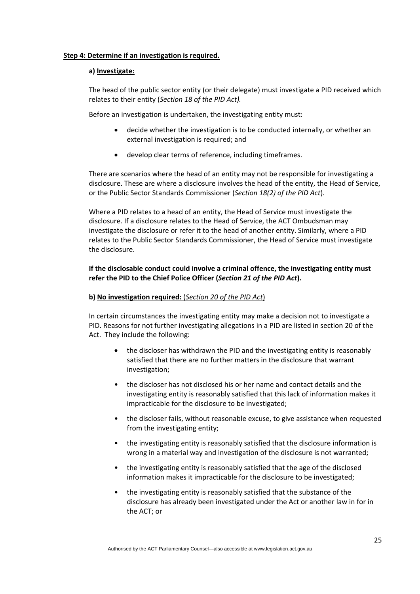#### **Step 4: Determine if an investigation is required.**

#### **a) Investigate:**

The head of the public sector entity (or their delegate) must investigate a PID received which relates to their entity (*Section 18 of the PID Act).*

Before an investigation is undertaken, the investigating entity must:

- decide whether the investigation is to be conducted internally, or whether an external investigation is required; and
- develop clear terms of reference, including timeframes.

There are scenarios where the head of an entity may not be responsible for investigating a disclosure. These are where a disclosure involves the head of the entity, the Head of Service, or the Public Sector Standards Commissioner (*Section 18(2) of the PID Act*).

Where a PID relates to a head of an entity, the Head of Service must investigate the disclosure. If a disclosure relates to the Head of Service, the ACT Ombudsman may investigate the disclosure or refer it to the head of another entity. Similarly, where a PID relates to the Public Sector Standards Commissioner, the Head of Service must investigate the disclosure.

#### **If the disclosable conduct could involve a criminal offence, the investigating entity must refer the PID to the Chief Police Officer (***Section 21 of the PID Act***).**

#### **b) No investigation required:** (*Section 20 of the PID Act*)

In certain circumstances the investigating entity may make a decision not to investigate a PID. Reasons for not further investigating allegations in a PID are listed in section 20 of the Act. They include the following:

- the discloser has withdrawn the PID and the investigating entity is reasonably satisfied that there are no further matters in the disclosure that warrant investigation;
- the discloser has not disclosed his or her name and contact details and the investigating entity is reasonably satisfied that this lack of information makes it impracticable for the disclosure to be investigated;
- the discloser fails, without reasonable excuse, to give assistance when requested from the investigating entity;
- the investigating entity is reasonably satisfied that the disclosure information is wrong in a material way and investigation of the disclosure is not warranted;
- the investigating entity is reasonably satisfied that the age of the disclosed information makes it impracticable for the disclosure to be investigated;
- the investigating entity is reasonably satisfied that the substance of the disclosure has already been investigated under the Act or another law in for in the ACT; or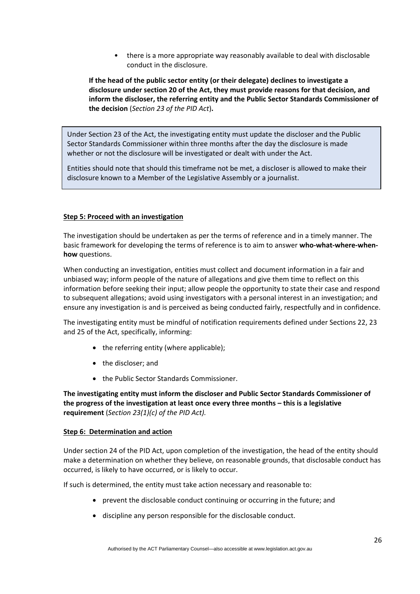• there is a more appropriate way reasonably available to deal with disclosable conduct in the disclosure.

**If the head of the public sector entity (or their delegate) declines to investigate a disclosure under section 20 of the Act, they must provide reasons for that decision, and inform the discloser, the referring entity and the Public Sector Standards Commissioner of the decision** (*Section 23 of the PID Act*)**.**

Under Section 23 of the Act, the investigating entity must update the discloser and the Public Sector Standards Commissioner within three months after the day the disclosure is made whether or not the disclosure will be investigated or dealt with under the Act.

Entities should note that should this timeframe not be met, a discloser is allowed to make their disclosure known to a Member of the Legislative Assembly or a journalist.

#### **Step 5: Proceed with an investigation**

The investigation should be undertaken as per the terms of reference and in a timely manner. The basic framework for developing the terms of reference is to aim to answer **who‐what-where-when‐ how** questions.

When conducting an investigation, entities must collect and document information in a fair and unbiased way; inform people of the nature of allegations and give them time to reflect on this information before seeking their input; allow people the opportunity to state their case and respond to subsequent allegations; avoid using investigators with a personal interest in an investigation; and ensure any investigation is and is perceived as being conducted fairly, respectfully and in confidence.

The investigating entity must be mindful of notification requirements defined under Sections 22, 23 and 25 of the Act, specifically, informing:

- the referring entity (where applicable);
- the discloser; and
- the Public Sector Standards Commissioner.

**The investigating entity must inform the discloser and Public Sector Standards Commissioner of the progress of the investigation at least once every three months – this is a legislative requirement** (*Section 23(1)(c) of the PID Act).*

#### **Step 6: Determination and action**

Under section 24 of the PID Act, upon completion of the investigation, the head of the entity should make a determination on whether they believe, on reasonable grounds, that disclosable conduct has occurred, is likely to have occurred, or is likely to occur.

If such is determined, the entity must take action necessary and reasonable to:

- prevent the disclosable conduct continuing or occurring in the future; and
- discipline any person responsible for the disclosable conduct.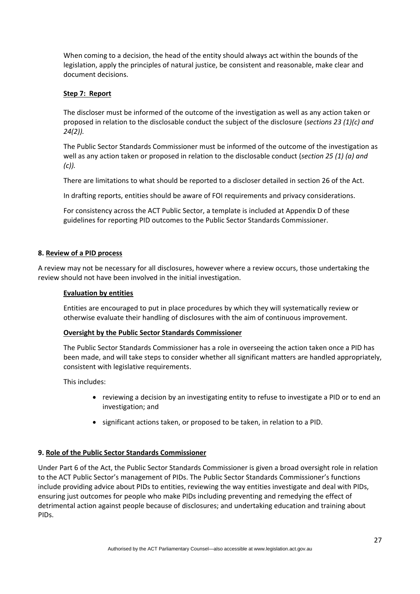When coming to a decision, the head of the entity should always act within the bounds of the legislation, apply the principles of natural justice, be consistent and reasonable, make clear and document decisions.

#### **Step 7: Report**

The discloser must be informed of the outcome of the investigation as well as any action taken or proposed in relation to the disclosable conduct the subject of the disclosure (*sections 23 (1)(c) and 24(2)).*

The Public Sector Standards Commissioner must be informed of the outcome of the investigation as well as any action taken or proposed in relation to the disclosable conduct (*section 25 (1) (a) and (c)).*

There are limitations to what should be reported to a discloser detailed in section 26 of the Act.

In drafting reports, entities should be aware of FOI requirements and privacy considerations.

For consistency across the ACT Public Sector, a template is included at Appendix D of these guidelines for reporting PID outcomes to the Public Sector Standards Commissioner.

#### **8. Review of a PID process**

A review may not be necessary for all disclosures, however where a review occurs, those undertaking the review should not have been involved in the initial investigation.

#### **Evaluation by entities**

Entities are encouraged to put in place procedures by which they will systematically review or otherwise evaluate their handling of disclosures with the aim of continuous improvement.

#### **Oversight by the Public Sector Standards Commissioner**

The Public Sector Standards Commissioner has a role in overseeing the action taken once a PID has been made, and will take steps to consider whether all significant matters are handled appropriately, consistent with legislative requirements.

This includes:

- reviewing a decision by an investigating entity to refuse to investigate a PID or to end an investigation; and
- significant actions taken, or proposed to be taken, in relation to a PID.

#### **9. Role of the Public Sector Standards Commissioner**

Under Part 6 of the Act, the Public Sector Standards Commissioner is given a broad oversight role in relation to the ACT Public Sector's management of PIDs. The Public Sector Standards Commissioner's functions include providing advice about PIDs to entities, reviewing the way entities investigate and deal with PIDs, ensuring just outcomes for people who make PIDs including preventing and remedying the effect of detrimental action against people because of disclosures; and undertaking education and training about PIDs.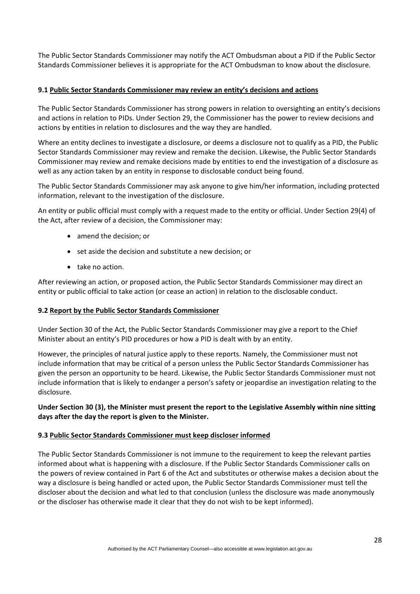The Public Sector Standards Commissioner may notify the ACT Ombudsman about a PID if the Public Sector Standards Commissioner believes it is appropriate for the ACT Ombudsman to know about the disclosure.

#### **9.1 Public Sector Standards Commissioner may review an entity's decisions and actions**

The Public Sector Standards Commissioner has strong powers in relation to oversighting an entity's decisions and actions in relation to PIDs. Under Section 29, the Commissioner has the power to review decisions and actions by entities in relation to disclosures and the way they are handled.

Where an entity declines to investigate a disclosure, or deems a disclosure not to qualify as a PID, the Public Sector Standards Commissioner may review and remake the decision. Likewise, the Public Sector Standards Commissioner may review and remake decisions made by entities to end the investigation of a disclosure as well as any action taken by an entity in response to disclosable conduct being found.

The Public Sector Standards Commissioner may ask anyone to give him/her information, including protected information, relevant to the investigation of the disclosure.

An entity or public official must comply with a request made to the entity or official. Under Section 29(4) of the Act, after review of a decision, the Commissioner may:

- amend the decision; or
- set aside the decision and substitute a new decision; or
- take no action.

After reviewing an action, or proposed action, the Public Sector Standards Commissioner may direct an entity or public official to take action (or cease an action) in relation to the disclosable conduct.

#### **9.2 Report by the Public Sector Standards Commissioner**

Under Section 30 of the Act, the Public Sector Standards Commissioner may give a report to the Chief Minister about an entity's PID procedures or how a PID is dealt with by an entity.

However, the principles of natural justice apply to these reports. Namely, the Commissioner must not include information that may be critical of a person unless the Public Sector Standards Commissioner has given the person an opportunity to be heard. Likewise, the Public Sector Standards Commissioner must not include information that is likely to endanger a person's safety or jeopardise an investigation relating to the disclosure.

#### **Under Section 30 (3), the Minister must present the report to the Legislative Assembly within nine sitting days after the day the report is given to the Minister.**

#### **9.3 Public Sector Standards Commissioner must keep discloser informed**

The Public Sector Standards Commissioner is not immune to the requirement to keep the relevant parties informed about what is happening with a disclosure. If the Public Sector Standards Commissioner calls on the powers of review contained in Part 6 of the Act and substitutes or otherwise makes a decision about the way a disclosure is being handled or acted upon, the Public Sector Standards Commissioner must tell the discloser about the decision and what led to that conclusion (unless the disclosure was made anonymously or the discloser has otherwise made it clear that they do not wish to be kept informed).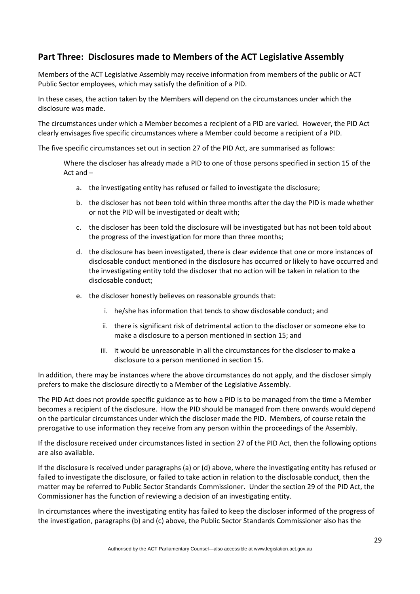# **Part Three: Disclosures made to Members of the ACT Legislative Assembly**

Members of the ACT Legislative Assembly may receive information from members of the public or ACT Public Sector employees, which may satisfy the definition of a PID.

In these cases, the action taken by the Members will depend on the circumstances under which the disclosure was made.

The circumstances under which a Member becomes a recipient of a PID are varied. However, the PID Act clearly envisages five specific circumstances where a Member could become a recipient of a PID.

The five specific circumstances set out in section 27 of the PID Act, are summarised as follows:

Where the discloser has already made a PID to one of those persons specified in section 15 of the Act and –

- a. the investigating entity has refused or failed to investigate the disclosure;
- b. the discloser has not been told within three months after the day the PID is made whether or not the PID will be investigated or dealt with;
- c. the discloser has been told the disclosure will be investigated but has not been told about the progress of the investigation for more than three months;
- d. the disclosure has been investigated, there is clear evidence that one or more instances of disclosable conduct mentioned in the disclosure has occurred or likely to have occurred and the investigating entity told the discloser that no action will be taken in relation to the disclosable conduct;
- e. the discloser honestly believes on reasonable grounds that:
	- i. he/she has information that tends to show disclosable conduct; and
	- ii. there is significant risk of detrimental action to the discloser or someone else to make a disclosure to a person mentioned in section 15; and
	- iii. it would be unreasonable in all the circumstances for the discloser to make a disclosure to a person mentioned in section 15.

In addition, there may be instances where the above circumstances do not apply, and the discloser simply prefers to make the disclosure directly to a Member of the Legislative Assembly.

The PID Act does not provide specific guidance as to how a PID is to be managed from the time a Member becomes a recipient of the disclosure. How the PID should be managed from there onwards would depend on the particular circumstances under which the discloser made the PID. Members, of course retain the prerogative to use information they receive from any person within the proceedings of the Assembly.

If the disclosure received under circumstances listed in section 27 of the PID Act, then the following options are also available.

If the disclosure is received under paragraphs (a) or (d) above, where the investigating entity has refused or failed to investigate the disclosure, or failed to take action in relation to the disclosable conduct, then the matter may be referred to Public Sector Standards Commissioner. Under the section 29 of the PID Act, the Commissioner has the function of reviewing a decision of an investigating entity.

In circumstances where the investigating entity has failed to keep the discloser informed of the progress of the investigation, paragraphs (b) and (c) above, the Public Sector Standards Commissioner also has the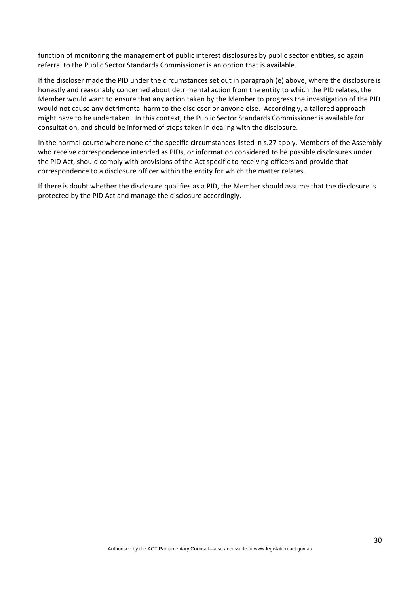function of monitoring the management of public interest disclosures by public sector entities, so again referral to the Public Sector Standards Commissioner is an option that is available.

If the discloser made the PID under the circumstances set out in paragraph (e) above, where the disclosure is honestly and reasonably concerned about detrimental action from the entity to which the PID relates, the Member would want to ensure that any action taken by the Member to progress the investigation of the PID would not cause any detrimental harm to the discloser or anyone else. Accordingly, a tailored approach might have to be undertaken. In this context, the Public Sector Standards Commissioner is available for consultation, and should be informed of steps taken in dealing with the disclosure.

In the normal course where none of the specific circumstances listed in s.27 apply, Members of the Assembly who receive correspondence intended as PIDs, or information considered to be possible disclosures under the PID Act, should comply with provisions of the Act specific to receiving officers and provide that correspondence to a disclosure officer within the entity for which the matter relates.

If there is doubt whether the disclosure qualifies as a PID, the Member should assume that the disclosure is protected by the PID Act and manage the disclosure accordingly.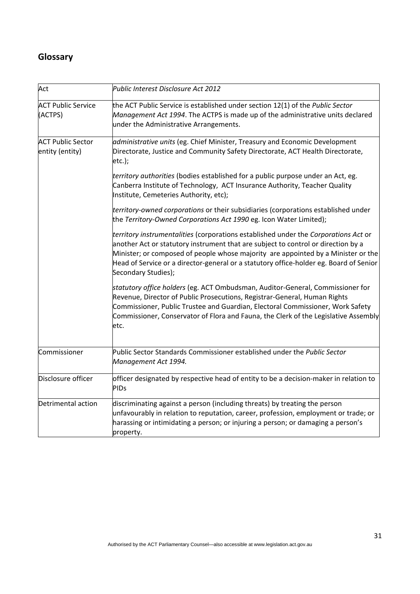# **Glossary**

| Act                                         | Public Interest Disclosure Act 2012                                                                                                                                                                                                                                                                                                                                            |
|---------------------------------------------|--------------------------------------------------------------------------------------------------------------------------------------------------------------------------------------------------------------------------------------------------------------------------------------------------------------------------------------------------------------------------------|
| <b>ACT Public Service</b><br>(ACTPS)        | the ACT Public Service is established under section 12(1) of the Public Sector<br>Management Act 1994. The ACTPS is made up of the administrative units declared<br>under the Administrative Arrangements.                                                                                                                                                                     |
| <b>ACT Public Sector</b><br>entity (entity) | administrative units (eg. Chief Minister, Treasury and Economic Development<br>Directorate, Justice and Community Safety Directorate, ACT Health Directorate,<br>$etc.$ );                                                                                                                                                                                                     |
|                                             | territory authorities (bodies established for a public purpose under an Act, eg.<br>Canberra Institute of Technology, ACT Insurance Authority, Teacher Quality<br>Institute, Cemeteries Authority, etc);                                                                                                                                                                       |
|                                             | territory-owned corporations or their subsidiaries (corporations established under<br>the Territory-Owned Corporations Act 1990 eg. Icon Water Limited);                                                                                                                                                                                                                       |
|                                             | territory instrumentalities (corporations established under the Corporations Act or<br>another Act or statutory instrument that are subject to control or direction by a<br>Minister; or composed of people whose majority are appointed by a Minister or the<br>Head of Service or a director-general or a statutory office-holder eg. Board of Senior<br>Secondary Studies); |
|                                             | statutory office holders (eg. ACT Ombudsman, Auditor-General, Commissioner for<br>Revenue, Director of Public Prosecutions, Registrar-General, Human Rights<br>Commissioner, Public Trustee and Guardian, Electoral Commissioner, Work Safety<br>Commissioner, Conservator of Flora and Fauna, the Clerk of the Legislative Assembly<br>etc.                                   |
| Commissioner                                | Public Sector Standards Commissioner established under the Public Sector<br>Management Act 1994.                                                                                                                                                                                                                                                                               |
| Disclosure officer                          | officer designated by respective head of entity to be a decision-maker in relation to<br><b>PIDs</b>                                                                                                                                                                                                                                                                           |
| Detrimental action                          | discriminating against a person (including threats) by treating the person<br>unfavourably in relation to reputation, career, profession, employment or trade; or<br>harassing or intimidating a person; or injuring a person; or damaging a person's<br>property.                                                                                                             |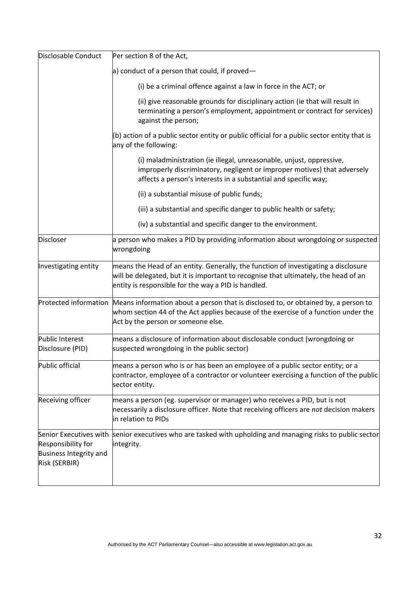| Disclosable Conduct                                                                     | Per section 8 of the Act,                                                                                                                                                                                                            |
|-----------------------------------------------------------------------------------------|--------------------------------------------------------------------------------------------------------------------------------------------------------------------------------------------------------------------------------------|
|                                                                                         | a) conduct of a person that could, if proved $-$                                                                                                                                                                                     |
|                                                                                         | (i) be a criminal offence against a law in force in the ACT; or                                                                                                                                                                      |
|                                                                                         | (ii) give reasonable grounds for disciplinary action (ie that will result in<br>terminating a person's employment, appointment or contract for services)<br>against the person;                                                      |
|                                                                                         | (b) action of a public sector entity or public official for a public sector entity that is<br>any of the following:                                                                                                                  |
|                                                                                         | (i) maladministration (ie illegal, unreasonable, unjust, oppressive,<br>improperly discriminatory, negligent or improper motives) that adversely<br>affects a person's interests in a substantial and specific way;                  |
|                                                                                         | (ii) a substantial misuse of public funds;                                                                                                                                                                                           |
|                                                                                         | (iii) a substantial and specific danger to public health or safety;                                                                                                                                                                  |
|                                                                                         | (iv) a substantial and specific danger to the environment.                                                                                                                                                                           |
| <b>Discloser</b>                                                                        | a person who makes a PID by providing information about wrongdoing or suspected<br>wrongdoing                                                                                                                                        |
| Investigating entity                                                                    | means the Head of an entity. Generally, the function of investigating a disclosure<br>will be delegated, but it is important to recognise that ultimately, the head of an<br>entity is responsible for the way a PID is handled.     |
|                                                                                         | Protected information Means information about a person that is disclosed to, or obtained by, a person to<br>whom section 44 of the Act applies because of the exercise of a function under the<br>Act by the person or someone else. |
| Public Interest<br>Disclosure (PID)                                                     | means a disclosure of information about disclosable conduct (wrongdoing or<br>suspected wrongdoing in the public sector)                                                                                                             |
| Public official                                                                         | means a person who is or has been an employee of a public sector entity; or a<br>contractor, employee of a contractor or volunteer exercising a function of the public<br>sector entity.                                             |
| Receiving officer                                                                       | means a person (eg. supervisor or manager) who receives a PID, but is not<br>necessarily a disclosure officer. Note that receiving officers are not decision makers<br>in relation to PIDs                                           |
| Senior Executives with<br>Responsibility for<br>Business Integrity and<br>Risk (SERBIR) | senior executives who are tasked with upholding and managing risks to public sector<br>integrity.                                                                                                                                    |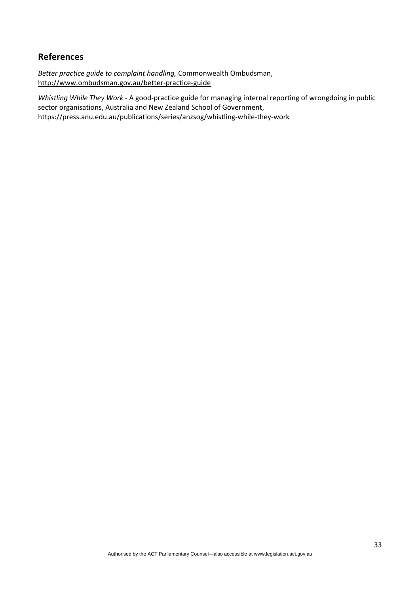## **References**

*Better practice quide to complaint handling,* Commonwealth Ombudsman, <http://www.ombudsman.gov.au/better-practice-guide>

*Whistling While They Work -* A good-practice guide for managing internal reporting of wrongdoing in public sector organisations, Australia and New Zealand School of Government, https://press.anu.edu.au/publications/series/anzsog/whistling-while-they-work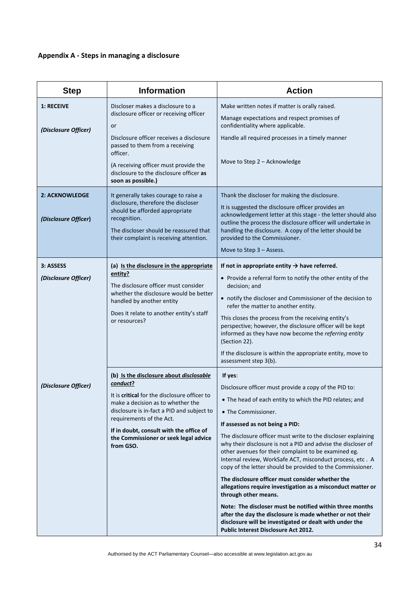# **Appendix A - Steps in managing a disclosure**

| <b>Step</b>                                   | <b>Information</b>                                                                                                                                                                                                                                                                                                  | <b>Action</b>                                                                                                                                                                                                                                                                                                                                                                                                                                                                                                                                                                                                                                                                                                     |
|-----------------------------------------------|---------------------------------------------------------------------------------------------------------------------------------------------------------------------------------------------------------------------------------------------------------------------------------------------------------------------|-------------------------------------------------------------------------------------------------------------------------------------------------------------------------------------------------------------------------------------------------------------------------------------------------------------------------------------------------------------------------------------------------------------------------------------------------------------------------------------------------------------------------------------------------------------------------------------------------------------------------------------------------------------------------------------------------------------------|
| 1: RECEIVE<br>(Disclosure Officer)            | Discloser makes a disclosure to a<br>disclosure officer or receiving officer<br>or<br>Disclosure officer receives a disclosure<br>passed to them from a receiving<br>officer.<br>(A receiving officer must provide the<br>disclosure to the disclosure officer as<br>soon as possible.)                             | Make written notes if matter is orally raised.<br>Manage expectations and respect promises of<br>confidentiality where applicable.<br>Handle all required processes in a timely manner<br>Move to Step 2 – Acknowledge                                                                                                                                                                                                                                                                                                                                                                                                                                                                                            |
| <b>2: ACKNOWLEDGE</b><br>(Disclosure Officer) | It generally takes courage to raise a<br>disclosure, therefore the discloser<br>should be afforded appropriate<br>recognition.<br>The discloser should be reassured that<br>their complaint is receiving attention.                                                                                                 | Thank the discloser for making the disclosure.<br>It is suggested the disclosure officer provides an<br>acknowledgement letter at this stage - the letter should also<br>outline the process the disclosure officer will undertake in<br>handling the disclosure. A copy of the letter should be<br>provided to the Commissioner.<br>Move to Step $3 -$ Assess.                                                                                                                                                                                                                                                                                                                                                   |
| 3: ASSESS<br>(Disclosure Officer)             | (a) Is the disclosure in the appropriate<br>entity?<br>The disclosure officer must consider<br>whether the disclosure would be better<br>handled by another entity<br>Does it relate to another entity's staff<br>or resources?                                                                                     | If not in appropriate entity $\rightarrow$ have referred.<br>• Provide a referral form to notify the other entity of the<br>decision; and<br>• notify the discloser and Commissioner of the decision to<br>refer the matter to another entity.<br>This closes the process from the receiving entity's<br>perspective; however, the disclosure officer will be kept<br>informed as they have now become the referring entity<br>(Section 22).<br>If the disclosure is within the appropriate entity, move to<br>assessment step 3(b).                                                                                                                                                                              |
| (Disclosure Officer)                          | (b) Is the disclosure about disclosable<br>conduct?<br>It is critical for the disclosure officer to<br>make a decision as to whether the<br>disclosure is in-fact a PID and subject to<br>requirements of the Act.<br>If in doubt, consult with the office of<br>the Commissioner or seek legal advice<br>from GSO. | If yes:<br>Disclosure officer must provide a copy of the PID to:<br>• The head of each entity to which the PID relates; and<br>• The Commissioner.<br>If assessed as not being a PID:<br>The disclosure officer must write to the discloser explaining<br>why their disclosure is not a PID and advise the discloser of<br>other avenues for their complaint to be examined eg.<br>Internal review, WorkSafe ACT, misconduct process, etc. A<br>copy of the letter should be provided to the Commissioner.<br>The disclosure officer must consider whether the<br>allegations require investigation as a misconduct matter or<br>through other means.<br>Note: The discloser must be notified within three months |
|                                               |                                                                                                                                                                                                                                                                                                                     | after the day the disclosure is made whether or not their<br>disclosure will be investigated or dealt with under the<br>Public Interest Disclosure Act 2012.                                                                                                                                                                                                                                                                                                                                                                                                                                                                                                                                                      |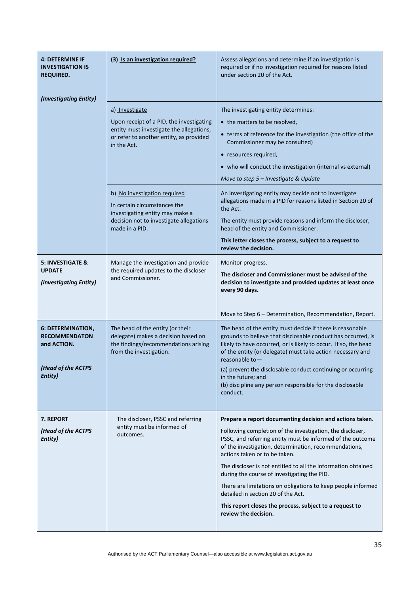| <b>4: DETERMINE IF</b><br><b>INVESTIGATION IS</b><br>REQUIRED. | (3) Is an investigation required?                                                                                                                            | Assess allegations and determine if an investigation is<br>required or if no investigation required for reasons listed<br>under section 20 of the Act.                                                                                                                       |
|----------------------------------------------------------------|--------------------------------------------------------------------------------------------------------------------------------------------------------------|------------------------------------------------------------------------------------------------------------------------------------------------------------------------------------------------------------------------------------------------------------------------------|
| (Investigating Entity)                                         | a) Investigate                                                                                                                                               | The investigating entity determines:                                                                                                                                                                                                                                         |
|                                                                | Upon receipt of a PID, the investigating<br>entity must investigate the allegations,<br>or refer to another entity, as provided<br>in the Act.               | • the matters to be resolved,<br>• terms of reference for the investigation (the office of the<br>Commissioner may be consulted)                                                                                                                                             |
|                                                                |                                                                                                                                                              | • resources required,<br>• who will conduct the investigation (internal vs external)<br>Move to step 5 - Investigate & Update                                                                                                                                                |
|                                                                | b) No investigation required<br>In certain circumstances the<br>investigating entity may make a<br>decision not to investigate allegations<br>made in a PID. | An investigating entity may decide not to investigate<br>allegations made in a PID for reasons listed in Section 20 of<br>the Act.                                                                                                                                           |
|                                                                |                                                                                                                                                              | The entity must provide reasons and inform the discloser,<br>head of the entity and Commissioner.                                                                                                                                                                            |
|                                                                |                                                                                                                                                              | This letter closes the process, subject to a request to<br>review the decision.                                                                                                                                                                                              |
| <b>5: INVESTIGATE &amp;</b><br><b>UPDATE</b>                   | Manage the investigation and provide<br>Monitor progress.<br>the required updates to the discloser                                                           |                                                                                                                                                                                                                                                                              |
| (Investigating Entity)                                         | and Commissioner.                                                                                                                                            | The discloser and Commissioner must be advised of the<br>decision to investigate and provided updates at least once<br>every 90 days.                                                                                                                                        |
|                                                                |                                                                                                                                                              | Move to Step 6 - Determination, Recommendation, Report.                                                                                                                                                                                                                      |
| 6: DETERMINATION,<br><b>RECOMMENDATON</b><br>and ACTION.       | The head of the entity (or their<br>delegate) makes a decision based on<br>the findings/recommendations arising<br>from the investigation.                   | The head of the entity must decide if there is reasonable<br>grounds to believe that disclosable conduct has occurred, is<br>likely to have occurred, or is likely to occur. If so, the head<br>of the entity (or delegate) must take action necessary and<br>reasonable to- |
| (Head of the ACTPS<br>Entity)                                  |                                                                                                                                                              | (a) prevent the disclosable conduct continuing or occurring<br>in the future; and<br>(b) discipline any person responsible for the disclosable<br>conduct.                                                                                                                   |
| <b>7. REPORT</b>                                               | The discloser, PSSC and referring                                                                                                                            | Prepare a report documenting decision and actions taken.                                                                                                                                                                                                                     |
| (Head of the ACTPS<br>Entity)                                  | entity must be informed of<br>outcomes.                                                                                                                      | Following completion of the investigation, the discloser,<br>PSSC, and referring entity must be informed of the outcome<br>of the investigation, determination, recommendations,<br>actions taken or to be taken.                                                            |
|                                                                |                                                                                                                                                              | The discloser is not entitled to all the information obtained<br>during the course of investigating the PID.                                                                                                                                                                 |
|                                                                |                                                                                                                                                              | There are limitations on obligations to keep people informed<br>detailed in section 20 of the Act.                                                                                                                                                                           |
|                                                                |                                                                                                                                                              | This report closes the process, subject to a request to<br>review the decision.                                                                                                                                                                                              |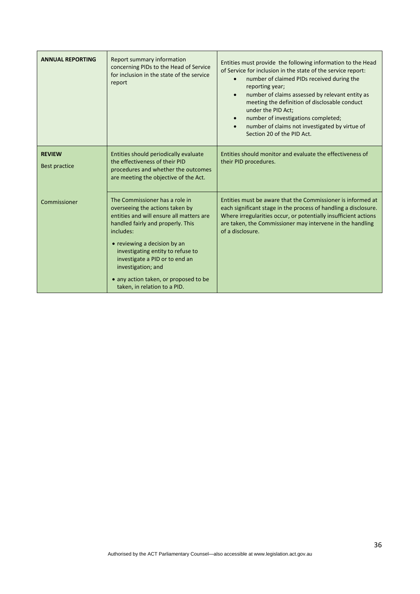| <b>ANNUAL REPORTING</b>               | Report summary information<br>concerning PIDs to the Head of Service<br>for inclusion in the state of the service<br>report                                                                                                                                                                                                                                           | Entities must provide the following information to the Head<br>of Service for inclusion in the state of the service report:<br>number of claimed PIDs received during the<br>reporting year;<br>number of claims assessed by relevant entity as<br>$\bullet$<br>meeting the definition of disclosable conduct<br>under the PID Act;<br>number of investigations completed;<br>number of claims not investigated by virtue of<br>Section 20 of the PID Act. |
|---------------------------------------|-----------------------------------------------------------------------------------------------------------------------------------------------------------------------------------------------------------------------------------------------------------------------------------------------------------------------------------------------------------------------|------------------------------------------------------------------------------------------------------------------------------------------------------------------------------------------------------------------------------------------------------------------------------------------------------------------------------------------------------------------------------------------------------------------------------------------------------------|
| <b>REVIEW</b><br><b>Best practice</b> | Entities should periodically evaluate<br>the effectiveness of their PID<br>procedures and whether the outcomes<br>are meeting the objective of the Act.                                                                                                                                                                                                               | Entities should monitor and evaluate the effectiveness of<br>their PID procedures.                                                                                                                                                                                                                                                                                                                                                                         |
| Commissioner                          | The Commissioner has a role in<br>overseeing the actions taken by<br>entities and will ensure all matters are<br>handled fairly and properly. This<br>includes:<br>• reviewing a decision by an<br>investigating entity to refuse to<br>investigate a PID or to end an<br>investigation; and<br>• any action taken, or proposed to be<br>taken, in relation to a PID. | Entities must be aware that the Commissioner is informed at<br>each significant stage in the process of handling a disclosure.<br>Where irregularities occur, or potentially insufficient actions<br>are taken, the Commissioner may intervene in the handling<br>of a disclosure.                                                                                                                                                                         |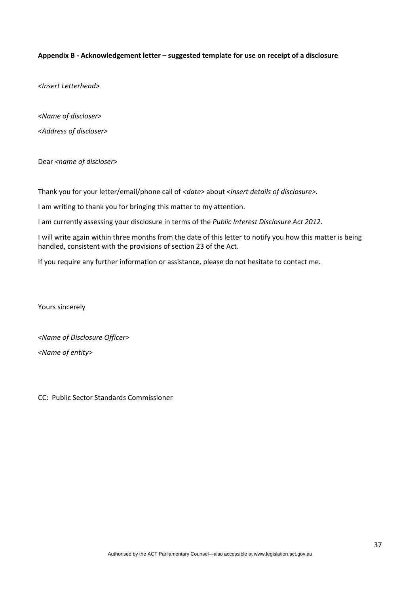#### **Appendix B - Acknowledgement letter – suggested template for use on receipt of a disclosure**

*<Insert Letterhead>*

*<Name of discloser>*

*<Address of discloser>*

Dear *<name of discloser>*

Thank you for your letter/email/phone call of *<date>* about <*insert details of disclosure>.*

I am writing to thank you for bringing this matter to my attention.

I am currently assessing your disclosure in terms of the *Public Interest Disclosure Act 2012*.

I will write again within three months from the date of this letter to notify you how this matter is being handled, consistent with the provisions of section 23 of the Act.

If you require any further information or assistance, please do not hesitate to contact me.

Yours sincerely

*<Name of Disclosure Officer> <Name of entity>*

CC: Public Sector Standards Commissioner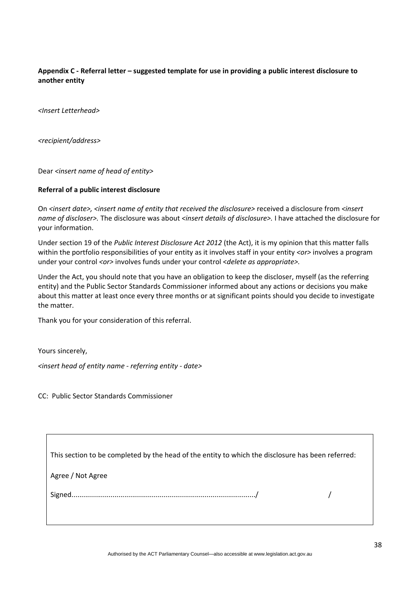#### **Appendix C - Referral letter – suggested template for use in providing a public interest disclosure to another entity**

*<Insert Letterhead>*

*<recipient/address>*

Dear *<insert name of head of entity>*

#### **Referral of a public interest disclosure**

On *<insert date>, <insert name of entity that received the disclosure>* received a disclosure from *<insert name of discloser>.* The disclosure was about *<insert details of disclosure>.* I have attached the disclosure for your information.

Under section 19 of the *Public Interest Disclosure Act 2012* (the Act), it is my opinion that this matter falls within the portfolio responsibilities of your entity as it involves staff in your entity *<or>* involves a program under your control <*or>* involves funds under your control <*delete as appropriate>*.

Under the Act, you should note that you have an obligation to keep the discloser, myself (as the referring entity) and the Public Sector Standards Commissioner informed about any actions or decisions you make about this matter at least once every three months or at significant points should you decide to investigate the matter.

Thank you for your consideration of this referral.

Yours sincerely,

 $\overline{1}$ 

*<insert head of entity name ‐ referring entity ‐ date>*

CC: Public Sector Standards Commissioner

| This section to be completed by the head of the entity to which the disclosure has been referred: |  |
|---------------------------------------------------------------------------------------------------|--|
| Agree / Not Agree                                                                                 |  |
|                                                                                                   |  |
|                                                                                                   |  |